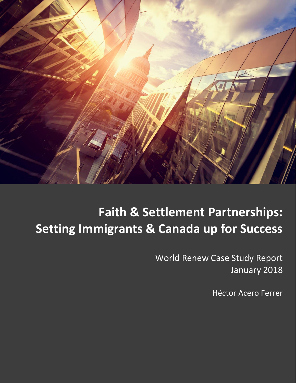

# **Faith & Settlement Partnerships: Setting Immigrants & Canada up for Success**

World Renew Case Study Report January 2018

Héctor Acero Ferrer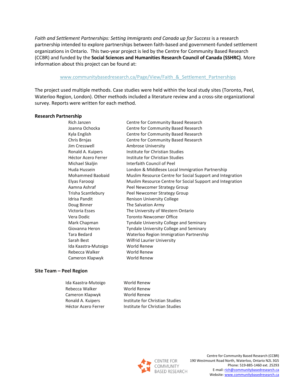Faith and Settlement Partnerships: Setting Immigrants and Canada up for Success is a research partnership intended to explore partnerships between faith-based and government-funded settlement organizations in Ontario. This two-year project is led by the Centre for Community Based Research (CCBR) and funded by the **Social Sciences and Humanities Research Council of Canada (SSHRC)**. More information about this project can be found at:

#### www.communitybasedresearch.ca/Page/View/Faith & Settlement Partnerships

The project used multiple methods. Case studies were held within the local study sites (Toronto, Peel, Waterloo Region, London). Other methods included a literature review and a cross-site organizational survey. Reports were written for each method.

#### **Research Partnership**

Jim Cresswell **Ambrose University** Doug Binner The Salvation Army Ida Kaastra-Mutoigo Rebecca Walker Cameron Klapwyk World Renew

Rich Janzen Centre for Community Based Research Joanna Ochocka Centre for Community Based Research Kyla English Centre for Community Based Research Chris Brnjas Centre for Community Based Research Ronald A. Kuipers **Institute for Christian Studies** Héctor Acero Ferrer **Institute for Christian Studies** Michael Skaliin **Interfaith Council of Peel** Huda Hussein London & Middlesex Local Immigration Partnership Mohammed Baobaid Muslim Resource Centre for Social Support and Integration Elyas Farooqi Muslim Resource Centre for Social Support and Integration Aamna Ashraf **Peel Newcomer Strategy Group** Trisha Scantlebury Peel Newcomer Strategy Group Idrisa Pandit **Renison University College** Victoria Esses The University of Western Ontario Vera Dodic Toronto Newcomer Office Mark Chapman Tyndale University College and Seminary Giovanna Heron Tyndale University College and Seminary Tara Bedard Waterloo Region Immigration Partnership Sarah Best Wilfrid Laurier University World Renew World Renew

#### **Site Team – Peel Region**

Ida Kaastra-Mutoigo Rebecca Walker Cameron Klapwyk World Renew Ronald A. Kuipers **Institute for Christian Studies** Héctor Acero Ferrer **Institute for Christian Studies** 

World Renew World Renew

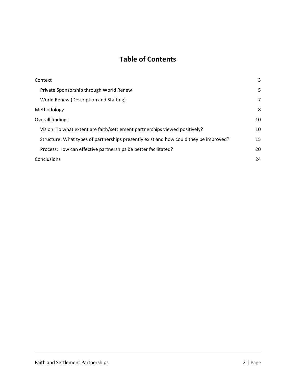### **Table of Contents**

| Context                                                                               | 3  |
|---------------------------------------------------------------------------------------|----|
| Private Sponsorship through World Renew                                               | 5  |
| World Renew (Description and Staffing)                                                | 7  |
| Methodology                                                                           | 8  |
| Overall findings                                                                      | 10 |
| Vision: To what extent are faith/settlement partnerships viewed positively?           | 10 |
| Structure: What types of partnerships presently exist and how could they be improved? | 15 |
| Process: How can effective partnerships be better facilitated?                        | 20 |
| Conclusions                                                                           | 24 |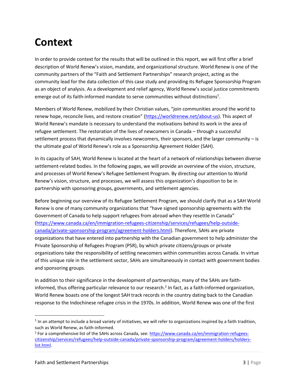### **Context**

In order to provide context for the results that will be outlined in this report, we will first offer a brief description of World Renew's vision, mandate, and organizational structure. World Renew is one of the community partners of the "Faith and Settlement Partnerships" research project, acting as the community lead for the data collection of this case study and providing its Refugee Sponsorship Program as an object of analysis. As a development and relief agency, World Renew's social justice commitments emerge out of its faith-informed mandate to serve communities without distinctions<sup>1</sup>.

Members of World Renew, mobilized by their Christian values, "join communities around the world to renew hope, reconcile lives, and restore creation" ([https://worldrenew.net/about-us\)](https://worldrenew.net/about-us). This aspect of World Renew's mandate is necessary to understand the motivations behind its work in the area of refugee settlement. The restoration of the lives of newcomers in Canada – through a successful settlement process that dynamically involves newcomers, their sponsors, and the larger community – is the ultimate goal of World Renew's role as a Sponsorship Agreement Holder (SAH).

In its capacity of SAH, World Renew is located at the heart of a network of relationships between diverse settlement-related bodies. In the following pages, we will provide an overview of the vision, structure, and processes of World Renew's Refugee Settlement Program. By directing our attention to World Renew's vision, structure, and processes, we will assess this organization's disposition to be in partnership with sponsoring groups, governments, and settlement agencies.

Before beginning our overview of its Refugee Settlement Program, we should clarify that as a SAH World Renew is one of many community organizations that "have signed sponsorship agreements with the Government of Canada to help support refugees from abroad when they resettle in Canada" [\(https://www.canada.ca/en/immigration-refugees-citizenship/services/refugees/help-outside](https://www.canada.ca/en/immigration-refugees-citizenship/services/refugees/help-outside-canada/private-sponsorship-program/agreement-holders.html)[canada/private-sponsorship-program/agreement-holders.html\)](https://www.canada.ca/en/immigration-refugees-citizenship/services/refugees/help-outside-canada/private-sponsorship-program/agreement-holders.html). Therefore, SAHs are private organizations that have entered into partnership with the Canadian government to help administer the Private Sponsorship of Refugees Program (PSR), by which private citizens/groups or private organizations take the responsibility of settling newcomers within communities across Canada. In virtue of this unique role in the settlement sector, SAHs are simultaneously in contact with government bodies and sponsoring groups.

In addition to their significance in the development of partnerships, many of the SAHs are faithinformed, thus offering particular relevance to our research.<sup>2</sup> In fact, as a faith-informed organization, World Renew boasts one of the longest SAH track records in the country dating back to the Canadian response to the Indochinese refugee crisis in the 1970s. In addition, World Renew was one of the first

 $\overline{\phantom{a}}$ 

 $1$  In an attempt to include a broad variety of initiatives, we will refer to organizations inspired by a faith tradition, such as World Renew, as faith-informed.

<sup>&</sup>lt;sup>2</sup> For a comprehensive list of the SAHs across Canada, see: [https://www.canada.ca/en/immigration-refugees](https://www.canada.ca/en/immigration-refugees-citizenship/services/refugees/help-outside-canada/private-sponsorship-program/agreement-holders/holders-list.html)[citizenship/services/refugees/help-outside-canada/private-sponsorship-program/agreement-holders/holders](https://www.canada.ca/en/immigration-refugees-citizenship/services/refugees/help-outside-canada/private-sponsorship-program/agreement-holders/holders-list.html)[list.html.](https://www.canada.ca/en/immigration-refugees-citizenship/services/refugees/help-outside-canada/private-sponsorship-program/agreement-holders/holders-list.html)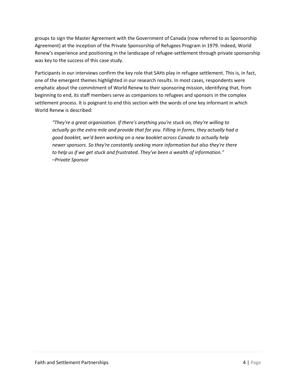groups to sign the Master Agreement with the Government of Canada (now referred to as Sponsorship Agreement) at the inception of the Private Sponsorship of Refugees Program in 1979. Indeed, World Renew's experience and positioning in the landscape of refugee-settlement through private sponsorship was key to the success of this case study.

Participants in our interviews confirm the key role that SAHs play in refugee settlement. This is, in fact, one of the emergent themes highlighted in our research results. In most cases, respondents were emphatic about the commitment of World Renew to their sponsoring mission, identifying that, from beginning to end, its staff members serve as companions to refugees and sponsors in the complex settlement process. It is poignant to end this section with the words of one key informant in which World Renew is described:

*"They're a great organization. If there's anything you're stuck on, they're willing to actually go the extra mile and provide that for you. Filling in forms, they actually had a good booklet, we'd been working on a new booklet across Canada to actually help newer sponsors. So they're constantly seeking more information but also they're there to help us if we get stuck and frustrated. They've been a wealth of information." –Private Sponsor*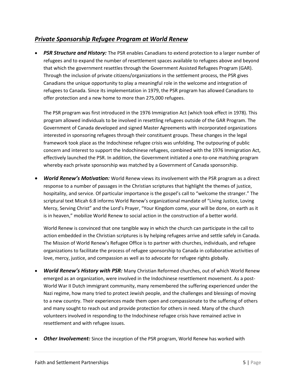### *Private Sponsorship Refugee Program at World Renew*

• *PSR Structure and History:* The PSR enables Canadians to extend protection to a larger number of refugees and to expand the number of resettlement spaces available to refugees above and beyond that which the government resettles through the Government Assisted Refugees Program (GAR). Through the inclusion of private citizens/organizations in the settlement process, the PSR gives Canadians the unique opportunity to play a meaningful role in the welcome and integration of refugees to Canada. Since its implementation in 1979, the PSR program has allowed Canadians to offer protection and a new home to more than 275,000 refugees.

The PSR program was first introduced in the 1976 Immigration Act (which took effect in 1978). This program allowed individuals to be involved in resettling refugees outside of the GAR Program. The Government of Canada developed and signed Master Agreements with incorporated organizations interested in sponsoring refugees through their constituent groups. These changes in the legal framework took place as the Indochinese refugee crisis was unfolding. The outpouring of public concern and interest to support the Indochinese refugees, combined with the 1976 Immigration Act, effectively launched the PSR. In addition, the Government initiated a one-to-one matching program whereby each private sponsorship was matched by a Government of Canada sponsorship.

• *World Renew's Motivation:* World Renew views its involvement with the PSR program as a direct response to a number of passages in the Christian scriptures that highlight the themes of justice, hospitality, and service. Of particular importance is the gospel's call to "welcome the stranger." The scriptural text Micah 6:8 informs World Renew's organizational mandate of "Living Justice, Loving Mercy, Serving Christ" and the Lord's Prayer, "Your Kingdom come, your will be done, on earth as it is in heaven," mobilize World Renew to social action in the construction of a better world.

World Renew is convinced that one tangible way in which the church can participate in the call to action embedded in the Christian scriptures is by helping refugees arrive and settle safely in Canada. The Mission of World Renew's Refugee Office is to partner with churches, individuals, and refugee organizations to facilitate the process of refugee sponsorship to Canada in collaborative activities of love, mercy, justice, and compassion as well as to advocate for refugee rights globally.

- *World Renew's History with PSR:* Many Christian Reformed churches, out of which World Renew emerged as an organization, were involved in the Indochinese resettlement movement. As a post-World War II Dutch immigrant community, many remembered the suffering experienced under the Nazi regime, how many tried to protect Jewish people, and the challenges and blessings of moving to a new country. Their experiences made them open and compassionate to the suffering of others and many sought to reach out and provide protection for others in need. Many of the church volunteers involved in responding to the Indochinese refugee crisis have remained active in resettlement and with refugee issues.
- **Other Involvement:** Since the inception of the PSR program, World Renew has worked with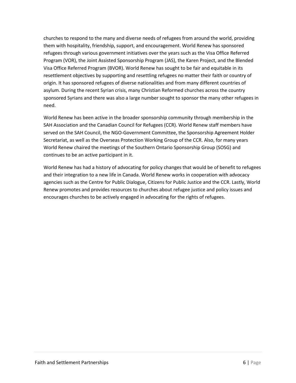churches to respond to the many and diverse needs of refugees from around the world, providing them with hospitality, friendship, support, and encouragement. World Renew has sponsored refugees through various government initiatives over the years such as the Visa Office Referred Program (VOR), the Joint Assisted Sponsorship Program (JAS), the Karen Project, and the Blended Visa Office Referred Program (BVOR). World Renew has sought to be fair and equitable in its resettlement objectives by supporting and resettling refugees no matter their faith or country of origin. It has sponsored refugees of diverse nationalities and from many different countries of asylum. During the recent Syrian crisis, many Christian Reformed churches across the country sponsored Syrians and there was also a large number sought to sponsor the many other refugees in need.

World Renew has been active in the broader sponsorship community through membership in the SAH Association and the Canadian Council for Refugees (CCR). World Renew staff members have served on the SAH Council, the NGO-Government Committee, the Sponsorship Agreement Holder Secretariat, as well as the Overseas Protection Working Group of the CCR. Also, for many years World Renew chaired the meetings of the Southern Ontario Sponsorship Group (SOSG) and continues to be an active participant in it.

World Renew has had a history of advocating for policy changes that would be of benefit to refugees and their integration to a new life in Canada. World Renew works in cooperation with advocacy agencies such as the Centre for Public Dialogue, Citizens for Public Justice and the CCR. Lastly, World Renew promotes and provides resources to churches about refugee justice and policy issues and encourages churches to be actively engaged in advocating for the rights of refugees.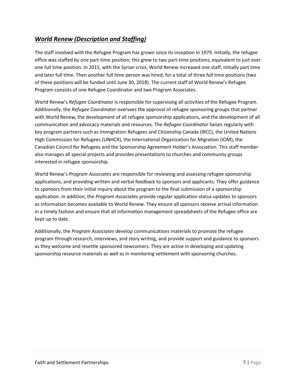### *World Renew (Description and Staffing)*

The staff involved with the Refugee Program has grown since its inception in 1979. Initially, the refugee office was staffed by one part-time position; this grew to two part-time positions, equivalent to just over one full time position. In 2015, with the Syrian crisis, World Renew increased one staff, initially part time and later full time. Then another full time person was hired, for a total of three full time positions (two of these positions will be funded until June 30, 2018). The current staff of World Renew's Refugee Program consists of one Refugee Coordinator and two Program Associates.

World Renew's *Refugee Coordinator* is responsible for supervising all activities of the Refugee Program. Additionally, the *Refugee Coordinator* oversees the approval of refugee sponsoring groups that partner with World Renew, the development of all refugee sponsorship applications, and the development of all communication and advocacy materials and resources. The *Refugee Coordinator* liaises regularly with key program partners such as Immigration Refugees and Citizenship Canada (IRCC), the United Nations High Commission for Refugees (UNHCR), the International Organization for Migration (IOM), the Canadian Council for Refugees and the Sponsorship Agreement Holder's Association. This staff member also manages all special projects and provides presentations to churches and community groups interested in refugee sponsorship.

World Renew's *Program Associate*s are responsible for reviewing and assessing refugee sponsorship applications, and providing written and verbal feedback to sponsors and applicants. They offer guidance to sponsors from their initial inquiry about the program to the final submission of a sponsorship application. In addition, the *Program Associates* provide regular application status updates to sponsors as information becomes available to World Renew. They ensure all sponsors receive arrival information in a timely fashion and ensure that all information management spreadsheets of the Refugee office are kept up to date.

Additionally, the *Program Associates* develop communications materials to promote the refugee program through research, interviews, and story writing, and provide support and guidance to sponsors as they welcome and resettle sponsored newcomers. They are active in developing and updating sponsorship resource materials as well as in monitoring settlement with sponsoring churches.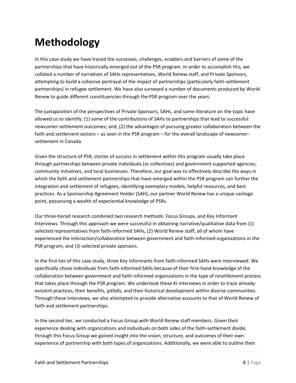## **Methodology**

In this case study we have traced the successes, challenges, enablers and barriers of some of the partnerships that have historically emerged out of the PSR program. In order to accomplish this, we collated a number of narratives of SAHs representatives, World Renew staff, and Private Sponsors, attempting to build a cohesive portrayal of the impact of partnerships (particularly faith-settlement partnerships) in refugee settlement. We have also surveyed a number of documents produced by World Renew to guide different constituencies through the PSR program over the years.

The juxtaposition of the perspectives of Private Sponsors, SAHs, and some literature on the topic have allowed us to identify: (1) some of the contributions of SAHs to partnerships that lead to successful newcomer-settlement outcomes; and, (2) the advantages of pursuing greater collaboration between the faith and settlement sectors – as seen in the PSR program – for the overall landscape of newcomersettlement in Canada.

Given the structure of PSR, stories of success in settlement within this program usually take place through partnerships between private individuals (or collectives) and government-supported agencies, community initiatives, and local businesses. Therefore, our goal was to effectively describe the ways in which the faith and settlement partnerships that have emerged within the PSR program can further the integration and settlement of refugees, identifying exemplary models, helpful resources, and best practices. As a Sponsorship Agreement Holder (SAH), our partner World Renew has a unique vantage point, possessing a wealth of experiential knowledge of PSRs.

Our three-tiered research combined two research methods: Focus Groups, and Key Informant Interviews. Through this approach we were successful in obtaining narrative/qualitative data from (1) selected representatives from faith-informed SAHs, (2) World Renew staff, all of whom have experienced the interaction/collaboration between government and faith-informed organizations in the PSR program, and (3) selected private sponsors.

<span id="page-8-0"></span>In the first tier of this case study, three Key Informants from faith-informed SAHs were interviewed. We specifically chose individuals from faith-informed SAHs because of their first-hand knowledge of the collaboration between government and faith-informed organizations in the type of resettlement process that takes place through the PSR program. We undertook these KI interviews in order to trace alreadyexistent practices, their benefits, pitfalls, and their historical development within diverse communities. Through these interviews, we also attempted to provide alternative accounts to that of World Renew of faith and settlement partnerships.

In the second tier, we conducted a Focus Group with World Renew staff members. Given their experience dealing with organizations and individuals on both sides of the faith-settlement divide, through this Focus Group we gained insight into the vision, structure, and outcomes of their own experience of partnership with both types of organizations. Additionally, we were able to outline their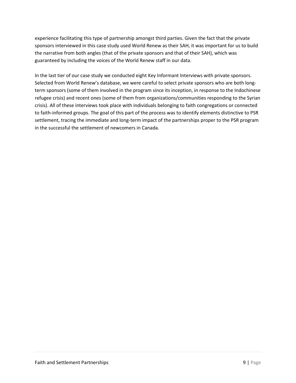experience facilitating this type of partnership amongst third parties. Given the fact that the private sponsors interviewed in this case study used World Renew as their SAH, it was important for us to build the narrative from both angles (that of the private sponsors and that of their SAH), which was guaranteed by including the voices of the World Renew staff in our data.

<span id="page-9-0"></span>In the last tier of our case study we conducted eight Key Informant Interviews with private sponsors. Selected from World Renew's database, we were careful to select private sponsors who are both longterm sponsors (some of them involved in the program since its inception, in response to the Indochinese refugee crisis) and recent ones (some of them from organizations/communities responding to the Syrian crisis). All of these interviews took place with individuals belonging to faith congregations or connected to faith-informed groups. The goal of this part of the process was to identify elements distinctive to PSR settlement, tracing the immediate and long-term impact of the partnerships proper to the PSR program in the successful the settlement of newcomers in Canada.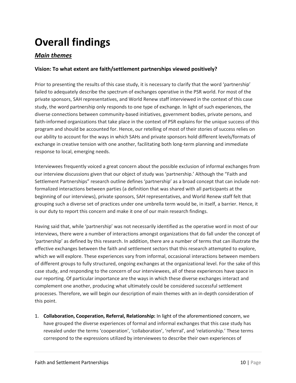## **Overall findings**

### *Main themes*

### **Vision: To what extent are faith/settlement partnerships viewed positively?**

Prior to presenting the results of this case study, it is necessary to clarify that the word 'partnership' failed to adequately describe the spectrum of exchanges operative in the PSR world. For most of the private sponsors, SAH representatives, and World Renew staff interviewed in the context of this case study, the word partnership only responds to one type of exchange. In light of such experiences, the diverse connections between community-based initiatives, government bodies, private persons, and faith-informed organizations that take place in the context of PSR explains for the unique success of this program and should be accounted for. Hence, our retelling of most of their stories of success relies on our ability to account for the ways in which SAHs and private sponsors hold different levels/formats of exchange in creative tension with one another, facilitating both long-term planning and immediate response to local, emerging needs.

Interviewees frequently voiced a great concern about the possible exclusion of informal exchanges from our interview discussions given that our object of study was 'partnership.' Although the "Faith and Settlement Partnerships" research outline defines 'partnership' as a broad concept that can include notformalized interactions between parties (a definition that was shared with all participants at the beginning of our interviews), private sponsors, SAH representatives, and World Renew staff felt that grouping such a diverse set of practices under one umbrella term would be, in itself, a barrier. Hence, it is our duty to report this concern and make it one of our main research findings.

Having said that, while 'partnership' was not necessarily identified as the operative word in most of our interviews, there were a number of interactions amongst organizations that do fall under the concept of 'partnership' as defined by this research. In addition, there are a number of terms that can illustrate the effective exchanges between the faith and settlement sectors that this research attempted to explore, which we will explore. These experiences vary from informal, occasional interactions between members of different groups to fully structured, ongoing exchanges at the organizational level. For the sake of this case study, and responding to the concern of our interviewees, all of these experiences have space in our reporting. Of particular importance are the ways in which these diverse exchanges interact and complement one another, producing what ultimately could be considered successful settlement processes. Therefore, we will begin our description of main themes with an in-depth consideration of this point.

1. **Collaboration, Cooperation, Referral, Relationship:** In light of the aforementioned concern, we have grouped the diverse experiences of formal and informal exchanges that this case study has revealed under the terms 'cooperation', 'collaboration', 'referral', and 'relationship.' These terms correspond to the expressions utilized by interviewees to describe their own experiences of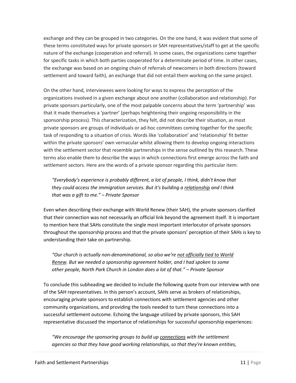exchange and they can be grouped in two categories. On the one hand, it was evident that some of these terms constituted ways for private sponsors or SAH representatives/staff to get at the specific nature of the exchange (cooperation and referral). In some cases, the organizations came together for specific tasks in which both parties cooperated for a determinate period of time. In other cases, the exchange was based on an ongoing chain of referrals of newcomers in both directions (toward settlement and toward faith), an exchange that did not entail them working on the same project.

On the other hand, interviewees were looking for ways to express the perception of the organizations involved in a given exchange about one another (collaboration and relationship). For private sponsors particularly, one of the most palpable concerns about the term 'partnership' was that it made themselves a 'partner' (perhaps heightening their ongoing responsibility in the sponsorship process). This characterization, they felt, did not describe their situation, as most private sponsors are groups of individuals or ad-hoc committees coming together for the specific task of responding to a situation of crisis. Words like 'collaboration' and 'relationship' fit better within the private sponsors' own vernacular whilst allowing them to develop ongoing interactions with the settlement sector that resemble partnerships in the sense outlined by this research. These terms also enable them to describe the ways in which connections first emerge across the faith and settlement sectors. Here are the words of a private sponsor regarding this particular item:

*"Everybody's experience is probably different, a lot of people, I think, didn't know that they could access the immigration services. But it's building a relationship and I think that was a gift to me." – Private Sponsor*

Even when describing their exchange with World Renew (their SAH), the private sponsors clarified that their connection was not necessarily an official link beyond the agreement itself. It is important to mention here that SAHs constitute the single most important interlocutor of private sponsors throughout the sponsorship process and that the private sponsors' perception of their SAHs is key to understanding their take on partnership.

*"Our church is actually non-denominational, so also we're not officially tied to World Renew. But we needed a sponsorship agreement holder, and I had spoken to some other people, North Park Church in London does a lot of that." – Private Sponsor*

To conclude this subheading we decided to include the following quote from our interview with one of the SAH representatives. In this person's account, SAHs serve as brokers of relationships, encouraging private sponsors to establish connections with settlement agencies and other community organizations, and providing the tools needed to turn these connections into a successful settlement outcome. Echoing the language utilized by private sponsors, this SAH representative discussed the importance of relationships for successful sponsorship experiences:

*"We encourage the sponsoring groups to build up connections with the settlement agencies so that they have good working relationships, so that they're known entities,*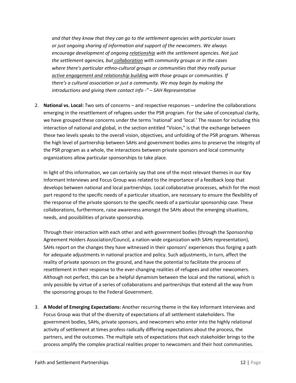*and that they know that they can go to the settlement agencies with particular issues or just ongoing sharing of information and support of the newcomers. We always encourage development of ongoing relationship with the settlement agencies. Not just the settlement agencies, but collaboration with community groups or in the cases where there's particular ethno-cultural groups or communities that they really pursue active engagement and relationship building with those groups or communities. If there's a cultural association or just a community. We may begin by making the introductions and giving them contact info -" – SAH Representative*

2. **National vs. Local:** Two sets of concerns – and respective responses – underline the collaborations emerging in the resettlement of refugees under the PSR program. For the sake of conceptual clarity, we have grouped these concerns under the terms 'national' and 'local.' The reason for including this interaction of national and global, in the section entitled "Vision," is that the exchange between these two levels speaks to the overall vision, objectives, and unfolding of the PSR program. Whereas the high level of partnership between SAHs and government bodies aims to preserve the integrity of the PSR program as a whole, the interactions between private sponsors and local community organizations allow particular sponsorships to take place.

In light of this information, we can certainly say that one of the most relevant themes in our Key Informant Interviews and Focus Group was related to the importance of a feedback loop that develops between national and local partnerships. Local collaborative processes, which for the most part respond to the specific needs of a particular situation, are necessary to ensure the flexibility of the response of the private sponsors to the specific needs of a particular sponsorship case. These collaborations, furthermore, raise awareness amongst the SAHs about the emerging situations, needs, and possibilities of private sponsorship.

Through their interaction with each other and with government bodies (through the Sponsorship Agreement Holders Association/Council, a nation-wide organization with SAHs representation), SAHs report on the changes they have witnessed in their sponsors' experiences thus forging a path for adequate adjustments in national practice and policy. Such adjustments, in turn, affect the reality of private sponsors on the ground, and have the potential to facilitate the process of resettlement in their response to the ever-changing realities of refugees and other newcomers. Although not perfect, this can be a helpful dynamism between the local and the national, which is only possible by virtue of a series of collaborations and partnerships that extend all the way from the sponsoring groups to the Federal Government.

3. **A Model of Emerging Expectations:** Another recurring theme in the Key Informant Interviews and Focus Group was that of the diversity of expectations of all settlement stakeholders. The government bodies, SAHs, private sponsors, and newcomers who enter into the highly relational activity of settlement at times profess radically differing expectations about the process, the partners, and the outcomes. The multiple sets of expectations that each stakeholder brings to the process amplify the complex practical realities proper to newcomers and their host communities.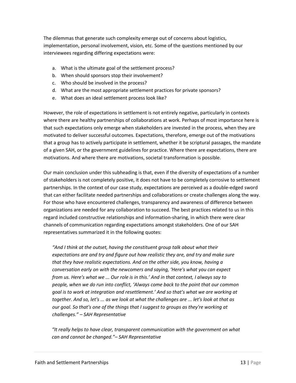The dilemmas that generate such complexity emerge out of concerns about logistics, implementation, personal involvement, vision, etc. Some of the questions mentioned by our interviewees regarding differing expectations were:

- a. What is the ultimate goal of the settlement process?
- b. When should sponsors stop their involvement?
- c. Who should be involved in the process?
- d. What are the most appropriate settlement practices for private sponsors?
- e. What does an ideal settlement process look like?

However, the role of expectations in settlement is not entirely negative, particularly in contexts where there are healthy partnerships of collaborations at work. Perhaps of most importance here is that such expectations only emerge when stakeholders are invested in the process, when they are motivated to deliver successful outcomes. Expectations, therefore, emerge out of the motivations that a group has to actively participate in settlement, whether it be scriptural passages, the mandate of a given SAH, or the government guidelines for practice. Where there are expectations, there are motivations. And where there are motivations, societal transformation is possible.

Our main conclusion under this subheading is that, even if the diversity of expectations of a number of stakeholders is not completely positive, it does not have to be completely corrosive to settlement partnerships. In the context of our case study, expectations are perceived as a double-edged sword that can either facilitate needed partnerships and collaborations or create challenges along the way. For those who have encountered challenges, transparency and awareness of difference between organizations are needed for any collaboration to succeed. The best practices related to us in this regard included constructive relationships and information-sharing, in which there were clear channels of communication regarding expectations amongst stakeholders. One of our SAH representatives summarized it in the following quotes:

*"And I think at the outset, having the constituent group talk about what their expectations are and try and figure out how realistic they are, and try and make sure that they have realistic expectations. And on the other side, you know, having a conversation early on with the newcomers and saying, 'Here's what you can expect from us. Here's what we ... Our role is in this.' And in that context, I always say to people, when we do run into conflict, 'Always come back to the point that our common goal is to work at integration and resettlement.' And so that's what we are working at together. And so, let's ... as we look at what the challenges are ... let's look at that as our goal. So that's one of the things that I suggest to groups as they're working at challenges." – SAH Representative*

*"It really helps to have clear, transparent communication with the government on what can and cannot be changed."– SAH Representative*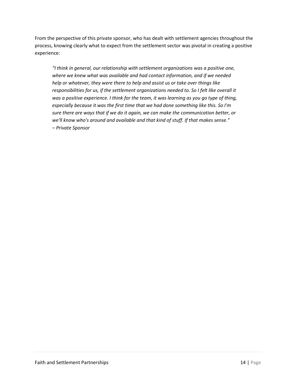From the perspective of this private sponsor, who has dealt with settlement agencies throughout the process, knowing clearly what to expect from the settlement sector was pivotal in creating a positive experience:

*"I think in general, our relationship with settlement organizations was a positive one, where we knew what was available and had contact information, and if we needed help or whatever, they were there to help and assist us or take over things like responsibilities for us, if the settlement organizations needed to. So I felt like overall it was a positive experience. I think for the team, it was learning as you go type of thing, especially because it was the first time that we had done something like this. So I'm sure there are ways that if we do it again, we can make the communication better, or we'll know who's around and available and that kind of stuff. If that makes sense." – Private Sponsor*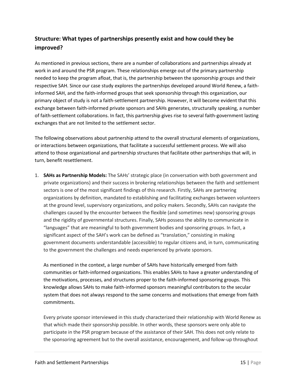### **Structure: What types of partnerships presently exist and how could they be improved?**

As mentioned in previous sections, there are a number of collaborations and partnerships already at work in and around the PSR program. These relationships emerge out of the primary partnership needed to keep the program afloat, that is, the partnership between the sponsorship groups and their respective SAH. Since our case study explores the partnerships developed around World Renew, a faithinformed SAH, and the faith-informed groups that seek sponsorship through this organization, our primary object of study is not a faith-settlement partnership. However, it will become evident that this exchange between faith-informed private sponsors and SAHs generates, structurally speaking, a number of faith-settlement collaborations. In fact, this partnership gives rise to several faith-government lasting exchanges that are not limited to the settlement sector.

The following observations about partnership attend to the overall structural elements of organizations, or interactions between organizations, that facilitate a successful settlement process. We will also attend to those organizational and partnership structures that facilitate other partnerships that will, in turn, benefit resettlement.

1. **SAHs as Partnership Models:** The SAHs' strategic place (in conversation with both government and private organizations) and their success in brokering relationships between the faith and settlement sectors is one of the most significant findings of this research. Firstly, SAHs are partnering organizations by definition, mandated to establishing and facilitating exchanges between volunteers at the ground level, supervisory organizations, and policy makers. Secondly, SAHs can navigate the challenges caused by the encounter between the flexible (and sometimes new) sponsoring groups and the rigidity of governmental structures. Finally, SAHs possess the ability to communicate in "languages" that are meaningful to both government bodies and sponsoring groups. In fact, a significant aspect of the SAH's work can be defined as "translation," consisting in making government documents understandable (accessible) to regular citizens and, in turn, communicating to the government the challenges and needs experienced by private sponsors.

As mentioned in the context, a large number of SAHs have historically emerged from faith communities or faith-informed organizations. This enables SAHs to have a greater understanding of the motivations, processes, and structures proper to the faith-informed sponsoring groups. This knowledge allows SAHs to make faith-informed sponsors meaningful contributors to the secular system that does not always respond to the same concerns and motivations that emerge from faith commitments.

Every private sponsor interviewed in this study characterized their relationship with World Renew as that which made their sponsorship possible. In other words, these sponsors were only able to participate in the PSR program because of the assistance of their SAH. This does not only relate to the sponsoring agreement but to the overall assistance, encouragement, and follow-up throughout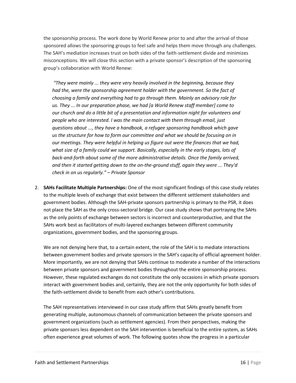the sponsorship process. The work done by World Renew prior to and after the arrival of those sponsored allows the sponsoring groups to feel safe and helps them move through any challenges. The SAH's mediation increases trust on both sides of the faith-settlement divide and minimizes misconceptions. We will close this section with a private sponsor's description of the sponsoring group's collaboration with World Renew:

*"They were mainly ... they were very heavily involved in the beginning, because they had the, were the sponsorship agreement holder with the government. So the fact of choosing a family and everything had to go through them. Mainly an advisory role for us. They ... In our preparation phase, we had [a World Renew staff member] come to our church and do a little bit of a presentation and information night for volunteers and people who are interested. I was the main contact with them through email, just questions about ..., they have a handbook, a refugee sponsoring handbook which gave us the structure for how to form our committee and what we should be focusing on in our meetings. They were helpful in helping us figure out were the finances that we had, what size of a family could we support. Basically, especially in the early stages, lots of*  back-and-forth about some of the more administrative details. Once the family arrived, *and then it started getting down to the on-the-ground stuff, again they were ... They'd check in on us regularly." – Private Sponsor*

2. **SAHs Facilitate Multiple Partnerships:** One of the most significant findings of this case study relates to the multiple levels of exchange that exist between the different settlement stakeholders and government bodies. Although the SAH-private sponsors partnership is primary to the PSR, it does not place the SAH as the only cross-sectoral bridge. Our case study shows that portraying the SAHs as the only points of exchange between sectors is incorrect and counterproductive, and that the SAHs work best as facilitators of multi-layered exchanges between different community organizations, government bodies, and the sponsoring groups.

We are not denying here that, to a certain extent, the role of the SAH is to mediate interactions between government bodies and private sponsors in the SAH's capacity of official agreement holder. More importantly, we are not denying that SAHs continue to moderate a number of the interactions between private sponsors and government bodies throughout the entire sponsorship process. However, these regulated exchanges do not constitute the only occasions in which private sponsors interact with government bodies and, certainly, they are not the only opportunity for both sides of the faith-settlement divide to benefit from each other's contributions.

The SAH representatives interviewed in our case study affirm that SAHs greatly benefit from generating multiple, autonomous channels of communication between the private sponsors and government organizations (such as settlement agencies). From their perspectives, making the private sponsors less dependent on the SAH intervention is beneficial to the entire system, as SAHs often experience great volumes of work. The following quotes show the progress in a particular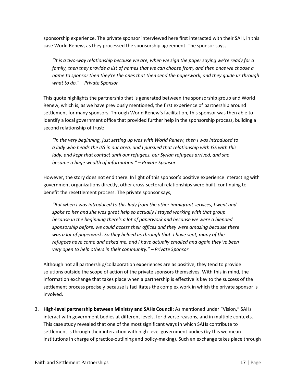sponsorship experience. The private sponsor interviewed here first interacted with their SAH, in this case World Renew, as they processed the sponsorship agreement. The sponsor says,

*"It is a two-way relationship because we are, when we sign the paper saying we're ready for a family, then they provide a list of names that we can choose from, and then once we choose a name to sponsor then they're the ones that then send the paperwork, and they guide us through what to do." – Private Sponsor*

This quote highlights the partnership that is generated between the sponsorship group and World Renew, which is, as we have previously mentioned, the first experience of partnership around settlement for many sponsors. Through World Renew's facilitation, this sponsor was then able to identify a local government office that provided further help in the sponsorship process, building a second relationship of trust:

*"In the very beginning, just setting up was with World Renew, then I was introduced to a lady who heads the ISS in our area, and I pursued that relationship with ISS with this lady, and kept that contact until our refugees, our Syrian refugees arrived, and she became a huge wealth of information." – Private Sponsor*

However, the story does not end there. In light of this sponsor's positive experience interacting with government organizations directly, other cross-sectoral relationships were built, continuing to benefit the resettlement process. The private sponsor says,

*"But when I was introduced to this lady from the other immigrant services, I went and spoke to her and she was great help so actually I stayed working with that group because in the beginning there's a lot of paperwork and because we were a blended sponsorship before, we could access their offices and they were amazing because there was a lot of paperwork. So they helped us through that. I have sent, many of the refugees have come and asked me, and I have actually emailed and again they've been very open to help others in their community." – Private Sponsor*

Although not all partnership/collaboration experiences are as positive, they tend to provide solutions outside the scope of action of the private sponsors themselves. With this in mind, the information exchange that takes place when a partnership is effective is key to the success of the settlement process precisely because is facilitates the complex work in which the private sponsor is involved.

3. **High-level partnership between Ministry and SAHs Council:** As mentioned under "Vision," SAHs interact with government bodies at different levels, for diverse reasons, and in multiple contexts. This case study revealed that one of the most significant ways in which SAHs contribute to settlement is through their interaction with high-level government bodies (by this we mean institutions in charge of practice-outlining and policy-making). Such an exchange takes place through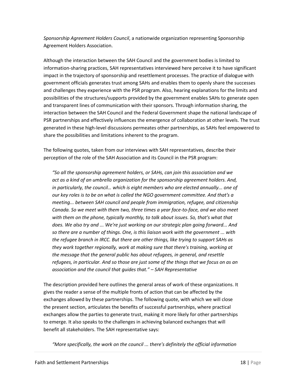*Sponsorship Agreement Holders Council*, a nationwide organization representing Sponsorship Agreement Holders Association.

Although the interaction between the SAH Council and the government bodies is limited to information-sharing practices, SAH representatives interviewed here perceive it to have significant impact in the trajectory of sponsorship and resettlement processes. The practice of dialogue with government officials generates trust among SAHs and enables them to openly share the successes and challenges they experience with the PSR program. Also, hearing explanations for the limits and possibilities of the structures/supports provided by the government enables SAHs to generate open and transparent lines of communication with their sponsors. Through information sharing, the interaction between the SAH Council and the Federal Government shape the national landscape of PSR partnerships and effectively influences the emergence of collaboration at other levels. The trust generated in these high-level discussions permeates other partnerships, as SAHs feel empowered to share the possibilities and limitations inherent to the program.

The following quotes, taken from our interviews with SAH representatives, describe their perception of the role of the SAH Association and its Council in the PSR program:

*"So all the sponsorship agreement holders, or SAHs, can join this association and we act as a kind of an umbrella organization for the sponsorship agreement holders. And, in particularly, the council… which is eight members who are elected annually... one of our key roles is to be on what is called the NGO government committee. And that's a meeting... between SAH council and people from immigration, refugee, and citizenship Canada. So we meet with them two, three times a year face-to-face, and we also meet with them on the phone, typically monthly, to talk about issues. So, that's what that does. We also try and ... We're just working on our strategic plan going forward... And so there are a number of things. One, is this liaison work with the government ... with the refugee branch in IRCC. But there are other things, like trying to support SAHs as they work together regionally, work at making sure that there's training, working at the message that the general public has about refugees, in general, and resettle refugees, in particular. And so those are just some of the things that we focus on as an association and the council that guides that." – SAH Representative*

The description provided here outlines the general areas of work of these organizations. It gives the reader a sense of the multiple fronts of action that can be affected by the exchanges allowed by these partnerships. The following quote, with which we will close the present section, articulates the benefits of successful partnerships, where practical exchanges allow the parties to generate trust, making it more likely for other partnerships to emerge. It also speaks to the challenges in achieving balanced exchanges that will benefit all stakeholders. The SAH representative says:

*"More specifically, the work on the council ... there's definitely the official information*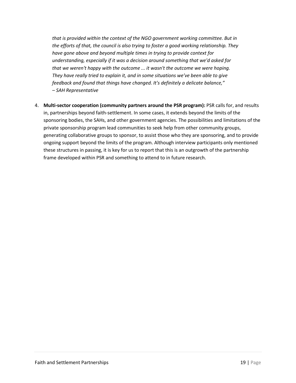*that is provided within the context of the NGO government working committee. But in the efforts of that, the council is also trying to foster a good working relationship. They have gone above and beyond multiple times in trying to provide context for understanding, especially if it was a decision around something that we'd asked for that we weren't happy with the outcome ... it wasn't the outcome we were hoping. They have really tried to explain it, and in some situations we've been able to give feedback and found that things have changed. It's definitely a delicate balance," – SAH Representative*

4. **Multi-sector cooperation (community partners around the PSR program):** PSR calls for, and results in, partnerships beyond faith-settlement. In some cases, it extends beyond the limits of the sponsoring bodies, the SAHs, and other government agencies. The possibilities and limitations of the private sponsorship program lead communities to seek help from other community groups, generating collaborative groups to sponsor, to assist those who they are sponsoring, and to provide ongoing support beyond the limits of the program. Although interview participants only mentioned these structures in passing, it is key for us to report that this is an outgrowth of the partnership frame developed within PSR and something to attend to in future research.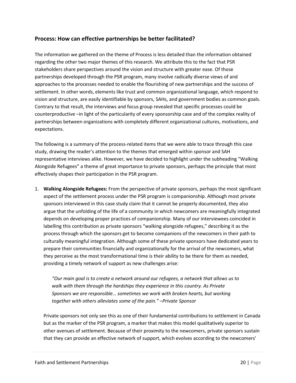### **Process: How can effective partnerships be better facilitated?**

The information we gathered on the theme of Process is less detailed than the information obtained regarding the other two major themes of this research. We attribute this to the fact that PSR stakeholders share perspectives around the vision and structure with greater ease. Of those partnerships developed through the PSR program, many involve radically diverse views of and approaches to the processes needed to enable the flourishing of new partnerships and the success of settlement. In other words, elements like trust and common organizational language, which respond to vision and structure, are easily identifiable by sponsors, SAHs, and government bodies as common goals. Contrary to that result, the interviews and focus group revealed that specific processes could be counterproductive –in light of the particularity of every sponsorship case and of the complex reality of partnerships between organizations with completely different organizational cultures, motivations, and expectations.

The following is a summary of the process-related items that we were able to trace through this case study, drawing the reader's attention to the themes that emerged within sponsor and SAH representative interviews alike. However, we have decided to highlight under the subheading "Walking Alongside Refugees" a theme of great importance to private sponsors, perhaps the principle that most effectively shapes their participation in the PSR program.

1. **Walking Alongside Refugees:** From the perspective of private sponsors, perhaps the most significant aspect of the settlement process under the PSR program is companionship. Although most private sponsors interviewed in this case study claim that it cannot be properly documented, they also argue that the unfolding of the life of a community in which newcomers are meaningfully integrated depends on developing proper practices of companionship. Many of our interviewees coincided in labelling this contribution as private sponsors "walking alongside refugees," describing it as the process through which the sponsors get to become companions of the newcomers in their path to culturally meaningful integration. Although some of these private sponsors have dedicated years to prepare their communities financially and organizationally for the arrival of the newcomers, what they perceive as the most transformational time is their ability to be there for them as needed, providing a timely network of support as new challenges arise:

*"Our main goal is to create a network around our refugees, a network that allows us to walk with them through the hardships they experience in this country. As Private Sponsors we are responsible… sometimes we work with broken hearts, but working together with others alleviates some of the pain." –Private Sponsor*

Private sponsors not only see this as one of their fundamental contributions to settlement in Canada but as the marker of the PSR program, a marker that makes this model qualitatively superior to other avenues of settlement. Because of their proximity to the newcomers, private sponsors sustain that they can provide an effective network of support, which evolves according to the newcomers'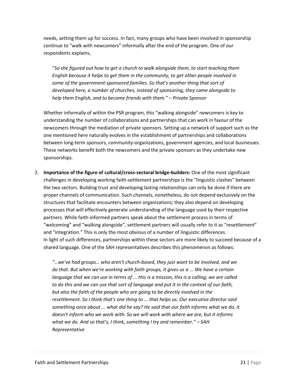needs, setting them up for success. In fact, many groups who have been involved in sponsorship continue to "walk with newcomers" informally after the end of the program. One of our respondents explains,

"*So she figured out how to get a church to walk alongside them, to start teaching them English because it helps to get them in the community, to get other people involved in some of the government-sponsored families. So that's another thing that sort of developed here, a number of churches, instead of sponsoring, they came alongside to help them English, and to become friends with them." – Private Sponsor*

Whether informally of within the PSR program, this "walking alongside" newcomers is key to understanding the number of collaborations and partnerships that can work in favour of the newcomers through the mediation of private sponsors. Setting up a network of support such as the one mentioned here naturally evolves in the establishment of partnerships and collaborations between long-term sponsors, community-organizations, government agencies, and local businesses. These networks benefit both the newcomers and the private sponsors as they undertake new sponsorships.

2. **Importance of the figure of cultural/cross-sectoral bridge-builders:** One of the most significant challenges in developing working faith-settlement partnerships is the "linguistic clashes" between the two sectors. Building trust and developing lasting relationships can only be done if there are proper channels of communication. Such channels, nonetheless, do not depend exclusively on the structures that facilitate encounters between organizations; they also depend on developing processes that will effectively generate understanding of the language used by their respective partners. While faith-informed partners speak about the settlement process in terms of "welcoming" and "walking alongside", settlement partners will usually refer to it as "resettlement" and "integration." This is only the most obvious of a number of linguistic differences. In light of such differences, partnerships within these sectors are more likely to succeed because of a shared language. One of the SAH representatives describes this phenomenon as follows:

*"…we've had groups… who aren't church-based, they just want to be involved, and we do that. But when we're working with faith groups, it gives us a ... We have a certain language that we can use in terms of ... this is a mission, this is a calling, we are called to do this and we can use that sort of language and put it in the context of our faith, but also the faith of the people who are going to be directly involved in the resettlement. So I think that's one thing to ... that helps us. Our executive director said something once about ... what did he say? He said that our faith informs what we do, it doesn't inform who we work with. So we will work with where we are, but it informs what we do. And so that's, I think, something I try and remember." – SAH Representative*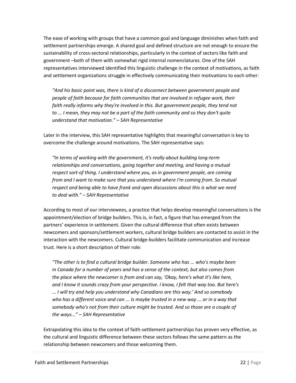The ease of working with groups that have a common goal and language diminishes when faith and settlement partnerships emerge. A shared goal and defined structure are not enough to ensure the sustainability of cross-sectoral relationships, particularly in the context of sectors like faith and government –both of them with somewhat rigid internal nomenclatures. One of the SAH representatives interviewed identified this linguistic challenge in the context of motivations, as faith and settlement organizations struggle in effectively communicating their motivations to each other:

*"And his basic point was, there is kind of a disconnect between government people and people of faith because for faith communities that are involved in refugee work, their faith really informs why they're involved in this. But government people, they tend not to ... I mean, they may not be a part of the faith community and so they don't quite understand that motivation." – SAH Representative* 

Later in the interview, this SAH representative highlights that meaningful conversation is key to overcome the challenge around motivations. The SAH representative says:

*"In terms of working with the government, it's really about building long-term relationships and conversations, going together and meeting, and having a mutual respect sort-of thing. I understand where you, as in government people, are coming from and I want to make sure that you understand where I'm coming from. So mutual respect and being able to have frank and open discussions about this is what we need to deal with." – SAH Representative*

According to most of our interviewees, a practice that helps develop meaningful conversations is the appointment/election of bridge builders. This is, in fact, a figure that has emerged from the partners' experience in settlement. Given the cultural difference that often exists between newcomers and sponsors/settlement workers, cultural bridge builders are contacted to assist in the interaction with the newcomers. Cultural bridge-builders facilitate communication and increase trust. Here is a short description of their role:

*"The other is to find a cultural bridge builder. Someone who has ... who's maybe been in Canada for a number of years and has a sense of the context, but also comes from the place where the newcomer is from and can say, 'Okay, here's what it's like here, and I know it sounds crazy from your perspective. I know, I felt that way too. But here's ... I will try and help you understand why Canadians are this way.' And so somebody who has a different voice and can ... Is maybe trusted in a new way ... or in a way that somebody who's not from their culture might be trusted. And so those are a couple of the ways..." – SAH Representative*

Extrapolating this idea to the context of faith-settlement partnerships has proven very effective, as the cultural and linguistic difference between these sectors follows the same pattern as the relationship between newcomers and those welcoming them.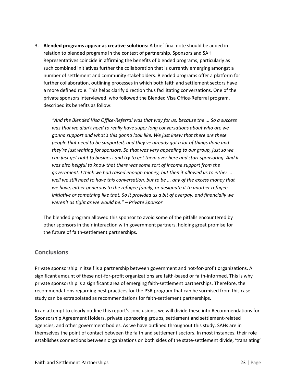3. **Blended programs appear as creative solutions:** A brief final note should be added in relation to blended programs in the context of partnership. Sponsors and SAH Representatives coincide in affirming the benefits of blended programs, particularly as such combined initiatives further the collaboration that is currently emerging amongst a number of settlement and community stakeholders. Blended programs offer a platform for further collaboration, outlining processes in which both faith and settlement sectors have a more defined role. This helps clarify direction thus facilitating conversations. One of the private sponsors interviewed, who followed the Blended Visa Office-Referral program, described its benefits as follow:

*"And the Blended Visa Office-Referral was that way for us, because the ... So a success was that we didn't need to really have super long conversations about who are we gonna support and what's this gonna look like. We just knew that there are these people that need to be supported, and they've already got a lot of things done and they're just waiting for sponsors. So that was very appealing to our group, just so we can just get right to business and try to get them over here and start sponsoring. And it was also helpful to know that there was some sort of income support from the government. I think we had raised enough money, but then it allowed us to either ... well we still need to have this conversation, but to be ... any of the excess money that we have, either generous to the refugee family, or designate it to another refugee initiative or something like that. So it provided us a bit of overpay, and financially we weren't as tight as we would be." – Private Sponsor*

The blended program allowed this sponsor to avoid some of the pitfalls encountered by other sponsors in their interaction with government partners, holding great promise for the future of faith-settlement partnerships.

### **Conclusions**

Private sponsorship in itself is a partnership between government and not-for-profit organizations. A significant amount of these not-for-profit organizations are faith-based or faith-informed. This is why private sponsorship is a significant area of emerging faith-settlement partnerships. Therefore, the recommendations regarding best practices for the PSR program that can be surmised from this case study can be extrapolated as recommendations for faith-settlement partnerships.

In an attempt to clearly outline this report's conclusions, we will divide these into Recommendations for Sponsorship Agreement Holders, private sponsoring groups, settlement and settlement-related agencies, and other government bodies. As we have outlined throughout this study, SAHs are in themselves the point of contact between the faith and settlement sectors. In most instances, their role establishes connections between organizations on both sides of the state-settlement divide, 'translating'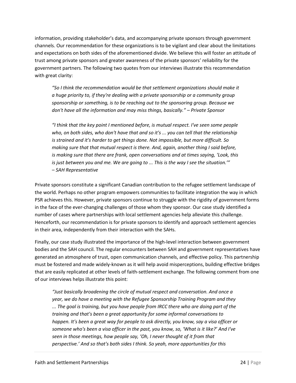information, providing stakeholder's data, and accompanying private sponsors through government channels. Our recommendation for these organizations is to be vigilant and clear about the limitations and expectations on both sides of the aforementioned divide. We believe this will foster an attitude of trust among private sponsors and greater awareness of the private sponsors' reliability for the government partners. The following two quotes from our interviews illustrate this recommendation with great clarity:

*"So I think the recommendation would be that settlement organizations should make it a huge priority to, if they're dealing with a private sponsorship or a community group sponsorship or something, is to be reaching out to the sponsoring group. Because we don't have all the information and may miss things, basically." – Private Sponsor*

*"I think that the key point I mentioned before, is mutual respect. I've seen some people who, on both sides, who don't have that and so it's ... you can tell that the relationship is strained and it's harder to get things done. Not impossible, but more difficult. So making sure that that mutual respect is there. And, again, another thing I said before, is making sure that there are frank, open conversations and at times saying, 'Look, this is just between you and me. We are going to ... This is the way I see the situation.'" – SAH Representative*

Private sponsors constitute a significant Canadian contribution to the refugee settlement landscape of the world. Perhaps no other program empowers communities to facilitate integration the way in which PSR achieves this. However, private sponsors continue to struggle with the rigidity of government forms in the face of the ever-changing challenges of those whom they sponsor. Our case study identified a number of cases where partnerships with local settlement agencies help alleviate this challenge. Henceforth, our recommendation is for private sponsors to identify and approach settlement agencies in their area, independently from their interaction with the SAHs.

Finally, our case study illustrated the importance of the high-level interaction between government bodies and the SAH council. The regular encounters between SAH and government representatives have generated an atmosphere of trust, open communication channels, and effective policy. This partnership must be fostered and made widely-known as it will help avoid misperceptions, building effective bridges that are easily replicated at other levels of faith-settlement exchange. The following comment from one of our interviews helps illustrate this point:

*"Just basically broadening the circle of mutual respect and conversation. And once a year, we do have a meeting with the Refugee Sponsorship Training Program and they ... The goal is training, but you have people from IRCC there who are doing part of the training and that's been a great opportunity for some informal conversations to happen. It's been a great way for people to ask directly, you know, say a visa officer or someone who's been a visa officer in the past, you know, so, 'What is it like?' And I've seen in those meetings, how people say, 'Oh, I never thought of it from that perspective.' And so that's both sides I think. So yeah, more opportunities for this*